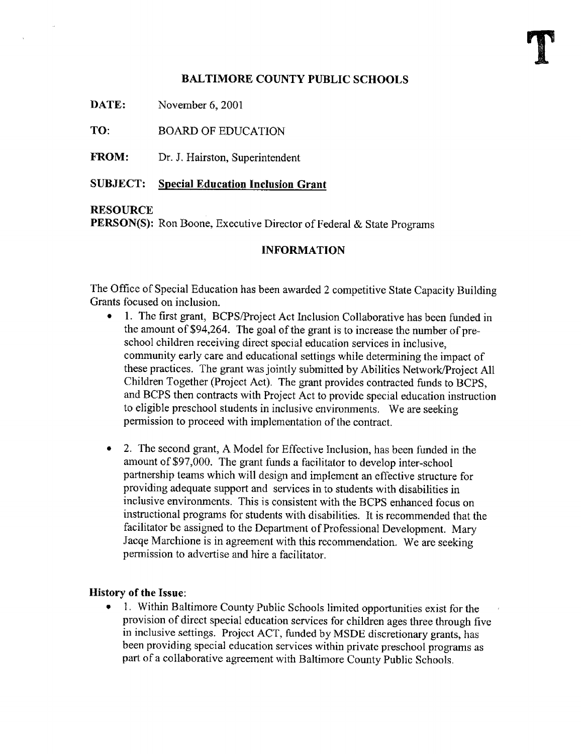# BALTIMORE COUNTY PUBLIC SCHOOLS

DATE: November 6, <sup>2001</sup>

TO: BOARD OF EDUCATION

FROM: Dr. J. Hairston, Superintendent

# SUBJECT: Special Education Inclusion Grant

### **RESOURCE**

PERSON(S): Ron Boone, Executive Director of Federal & State Programs

### INFORMATION

The Office of Special Education has been awarded 2 competitive State Capacity Building Grants focused on inclusion .

- 1. The first grant, BCPS/Project Act Inclusion Collaborative has been funded in the amount of \$94,264. The goal of the grant is to increase the number of preschool children receiving direct special education services in inclusive, community early care and educational settings while determining the impact of these practices . The grant was jointly submitted by Abilities Network/Project All Children Together (Project Act). The grant provides contracted funds to BCPS, and BCPS then contracts with Project Act to provide special education instruction to eligible preschool students in inclusive environments. We are seeking permission to proceed with implementation of the contract.
- 2. The second grant, A Model for Effective Inclusion, has been funded in the amount of \$97,000. The grant funds a facilitator to develop inter-school partnership teams which will design and implement an effective structure for providing adequate support and services in to students with disabilities in inclusive environments. This is consistent with the BCPS enhanced focus on instructional programs for students with disabilities . It is recommended that the facilitator be assigned to the Department of Professional Development. Mary Jacqe Marchione is in agreement with this recommendation. We are seeking permission to advertise and hire a facilitator .

### History of the Issue:

1. Within Baltimore County Public Schools limited opportunities exist for the provision of direct special education services for children ages three through five in inclusive settings. Project ACT, funded by MSDE discretionary grants, has been providing special education services within private preschool programs as part of a collaborative agreement with Baltimore County Public Schools.